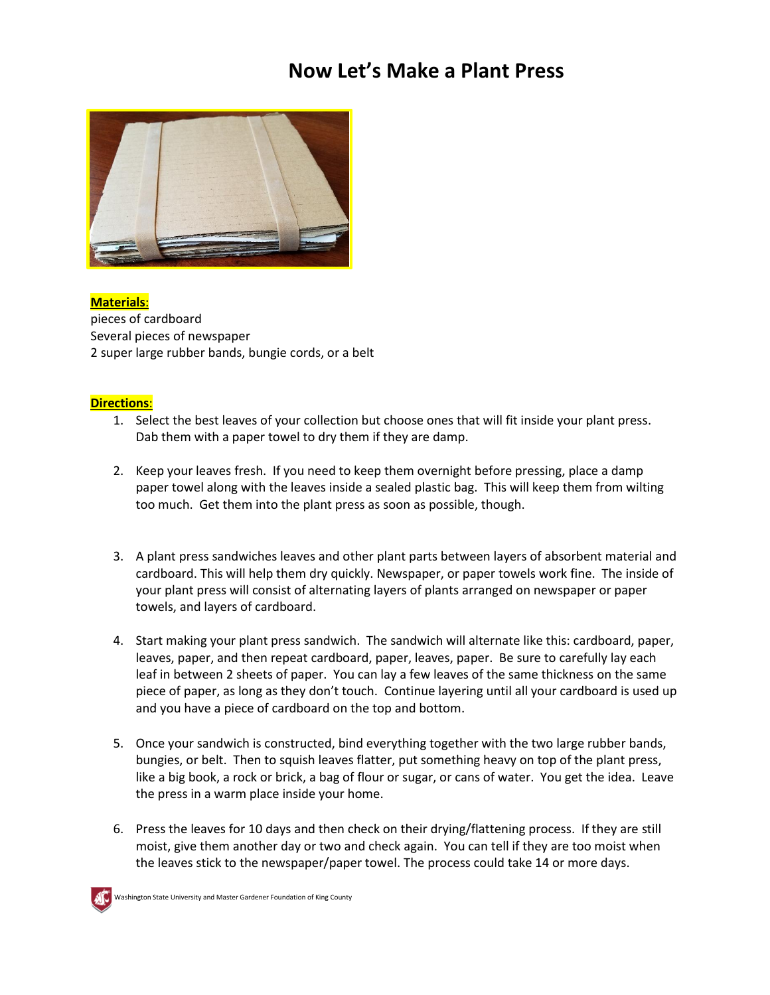# **Now Let's Make a Plant Press**



**Materials**: pieces of cardboard Several pieces of newspaper 2 super large rubber bands, bungie cords, or a belt

## **Directions**:

- 1. Select the best leaves of your collection but choose ones that will fit inside your plant press. Dab them with a paper towel to dry them if they are damp.
- 2. Keep your leaves fresh. If you need to keep them overnight before pressing, place a damp paper towel along with the leaves inside a sealed plastic bag. This will keep them from wilting too much. Get them into the plant press as soon as possible, though.
- 3. A plant press sandwiches leaves and other plant parts between layers of absorbent material and cardboard. This will help them dry quickly. Newspaper, or paper towels work fine. The inside of your plant press will consist of alternating layers of plants arranged on newspaper or paper towels, and layers of cardboard.
- 4. Start making your plant press sandwich. The sandwich will alternate like this: cardboard, paper, leaves, paper, and then repeat cardboard, paper, leaves, paper. Be sure to carefully lay each leaf in between 2 sheets of paper. You can lay a few leaves of the same thickness on the same piece of paper, as long as they don't touch. Continue layering until all your cardboard is used up and you have a piece of cardboard on the top and bottom.
- 5. Once your sandwich is constructed, bind everything together with the two large rubber bands, bungies, or belt. Then to squish leaves flatter, put something heavy on top of the plant press, like a big book, a rock or brick, a bag of flour or sugar, or cans of water. You get the idea. Leave the press in a warm place inside your home.
- 6. Press the leaves for 10 days and then check on their drying/flattening process. If they are still moist, give them another day or two and check again. You can tell if they are too moist when the leaves stick to the newspaper/paper towel. The process could take 14 or more days.



Washington State University and Master Gardener Foundation of King County